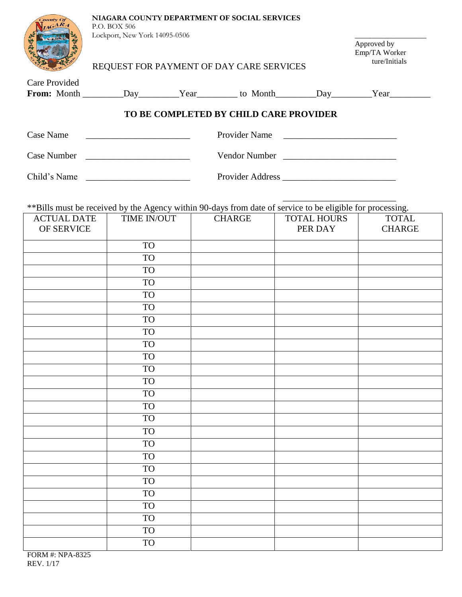| County Of                              | NIAGARA COUNTY DEPARTMENT OF SOCIAL SERVICES<br>P.O. BOX 506                                                                             |                                               |               |                    |                                                                                                      |  |  |  |
|----------------------------------------|------------------------------------------------------------------------------------------------------------------------------------------|-----------------------------------------------|---------------|--------------------|------------------------------------------------------------------------------------------------------|--|--|--|
|                                        | Lockport, New York 14095-0506<br>REQUEST FOR PAYMENT OF DAY CARE SERVICES                                                                | Approved by<br>Emp/TA Worker<br>ture/Initials |               |                    |                                                                                                      |  |  |  |
| <b>Care Provided</b>                   |                                                                                                                                          |                                               |               |                    | From: Month __________Day__________Year__________ to Month ________Day_________Year_________________ |  |  |  |
| TO BE COMPLETED BY CHILD CARE PROVIDER |                                                                                                                                          |                                               |               |                    |                                                                                                      |  |  |  |
| Case Name                              | Provider Name                                                                                                                            |                                               |               |                    |                                                                                                      |  |  |  |
| Case Number                            | Vendor Number<br><u> The Communication of the Communication of the Communication of the Communication of the Communication of the Co</u> |                                               |               |                    |                                                                                                      |  |  |  |
|                                        | Child's Name                                                                                                                             |                                               |               |                    |                                                                                                      |  |  |  |
| <b>ACTUAL DATE</b>                     | ** Bills must be received by the Agency within 90-days from date of service to be eligible for processing.<br>TIME IN/OUT                |                                               | <b>CHARGE</b> | <b>TOTAL HOURS</b> | <b>TOTAL</b>                                                                                         |  |  |  |
| OF SERVICE                             |                                                                                                                                          |                                               |               | PER DAY            | <b>CHARGE</b>                                                                                        |  |  |  |
|                                        | <b>TO</b>                                                                                                                                |                                               |               |                    |                                                                                                      |  |  |  |
|                                        | <b>TO</b>                                                                                                                                |                                               |               |                    |                                                                                                      |  |  |  |
|                                        | <b>TO</b>                                                                                                                                |                                               |               |                    |                                                                                                      |  |  |  |
|                                        | <b>TO</b>                                                                                                                                |                                               |               |                    |                                                                                                      |  |  |  |
|                                        | <b>TO</b>                                                                                                                                |                                               |               |                    |                                                                                                      |  |  |  |
|                                        | <b>TO</b>                                                                                                                                |                                               |               |                    |                                                                                                      |  |  |  |
|                                        | <b>TO</b>                                                                                                                                |                                               |               |                    |                                                                                                      |  |  |  |
|                                        | <b>TO</b>                                                                                                                                |                                               |               |                    |                                                                                                      |  |  |  |
|                                        | <b>TO</b>                                                                                                                                |                                               |               |                    |                                                                                                      |  |  |  |
|                                        | <b>TO</b>                                                                                                                                |                                               |               |                    |                                                                                                      |  |  |  |
|                                        | <b>TO</b>                                                                                                                                |                                               |               |                    |                                                                                                      |  |  |  |
|                                        | <b>TO</b>                                                                                                                                |                                               |               |                    |                                                                                                      |  |  |  |
|                                        | <b>TO</b>                                                                                                                                |                                               |               |                    |                                                                                                      |  |  |  |
|                                        | <b>TO</b>                                                                                                                                |                                               |               |                    |                                                                                                      |  |  |  |
|                                        | <b>TO</b>                                                                                                                                |                                               |               |                    |                                                                                                      |  |  |  |
|                                        | <b>TO</b>                                                                                                                                |                                               |               |                    |                                                                                                      |  |  |  |
|                                        | <b>TO</b>                                                                                                                                |                                               |               |                    |                                                                                                      |  |  |  |
|                                        | <b>TO</b>                                                                                                                                |                                               |               |                    |                                                                                                      |  |  |  |
|                                        | <b>TO</b>                                                                                                                                |                                               |               |                    |                                                                                                      |  |  |  |
|                                        | <b>TO</b>                                                                                                                                |                                               |               |                    |                                                                                                      |  |  |  |
|                                        | <b>TO</b>                                                                                                                                |                                               |               |                    |                                                                                                      |  |  |  |
|                                        | <b>TO</b>                                                                                                                                |                                               |               |                    |                                                                                                      |  |  |  |
|                                        | <b>TO</b>                                                                                                                                |                                               |               |                    |                                                                                                      |  |  |  |
|                                        | <b>TO</b>                                                                                                                                |                                               |               |                    |                                                                                                      |  |  |  |
|                                        | <b>TO</b>                                                                                                                                |                                               |               |                    |                                                                                                      |  |  |  |